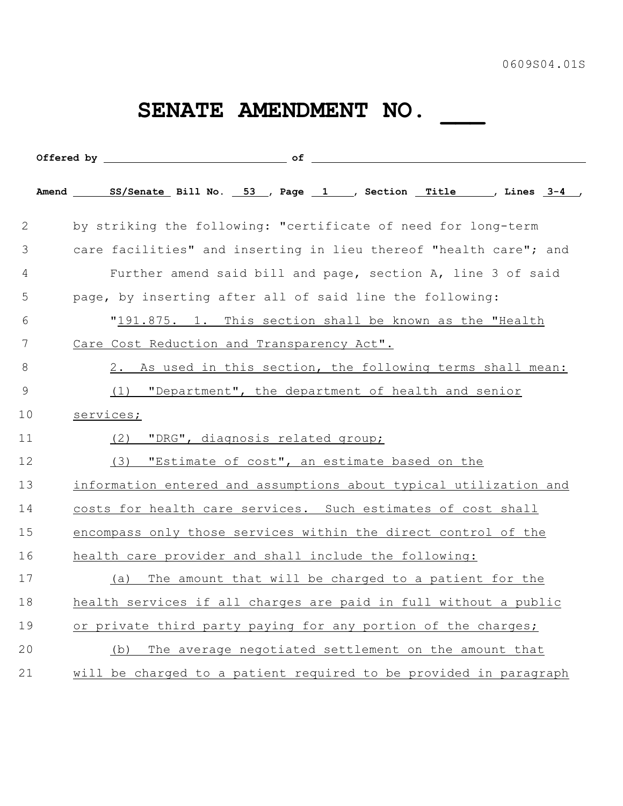## **SENATE AMENDMENT NO. \_\_\_**

| 2              | by striking the following: "certificate of need for long-term     |  |
|----------------|-------------------------------------------------------------------|--|
| 3              | care facilities" and inserting in lieu thereof "health care"; and |  |
| 4              | Further amend said bill and page, section A, line 3 of said       |  |
| 5              | page, by inserting after all of said line the following:          |  |
| 6              | "191.875. 1. This section shall be known as the "Health           |  |
| 7              | Care Cost Reduction and Transparency Act".                        |  |
| 8              | 2. As used in this section, the following terms shall mean:       |  |
| $\overline{9}$ | "Department", the department of health and senior<br>(1)          |  |
| 10             | services;                                                         |  |
| 11             | "DRG", diagnosis related group;<br>(2)                            |  |
| 12             | "Estimate of cost", an estimate based on the<br>(3)               |  |
| 13             | information entered and assumptions about typical utilization and |  |
| 14             | costs for health care services. Such estimates of cost shall      |  |
| 15             | encompass only those services within the direct control of the    |  |
| 16             | health care provider and shall include the following:             |  |
| 17             | The amount that will be charged to a patient for the<br>(a)       |  |
| 18             | health services if all charges are paid in full without a public  |  |
| 19             | or private third party paying for any portion of the charges;     |  |
| 20             | The average negotiated settlement on the amount that<br>(b)       |  |
| 21             | will be charged to a patient required to be provided in paragraph |  |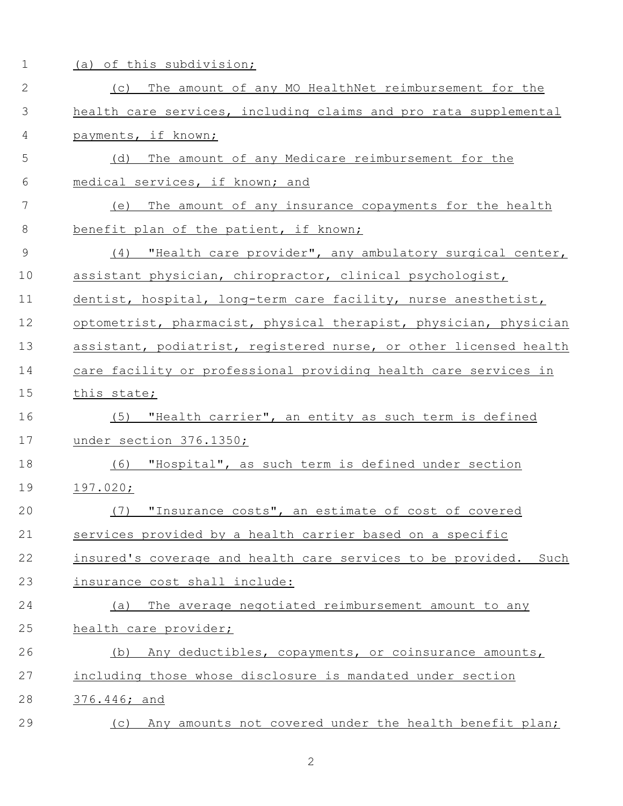| $\mathbf 1$   | of this subdivision;<br>(a)                                       |
|---------------|-------------------------------------------------------------------|
| $\mathbf{2}$  | (c) The amount of any MO HealthNet reimbursement for the          |
| 3             | health care services, including claims and pro rata supplemental  |
| 4             | payments, if known;                                               |
| 5             | The amount of any Medicare reimbursement for the<br>(d)           |
| 6             | medical services, if known; and                                   |
| 7             | The amount of any insurance copayments for the health<br>(e)      |
| 8             | benefit plan of the patient, if known;                            |
| $\mathcal{G}$ | "Health care provider", any ambulatory surgical center,<br>(4)    |
| 10            | assistant physician, chiropractor, clinical psychologist,         |
| 11            | dentist, hospital, long-term care facility, nurse anesthetist,    |
| 12            | optometrist, pharmacist, physical therapist, physician, physician |
| 13            | assistant, podiatrist, registered nurse, or other licensed health |
| 14            | care facility or professional providing health care services in   |
| 15            | this state;                                                       |
| 16            | "Health carrier", an entity as such term is defined<br>(5)        |
| 17            | under section 376.1350;                                           |
| 18            | (6) "Hospital", as such term is defined under section             |
| 19            | $197.020$ ;                                                       |
| 20            | "Insurance costs", an estimate of cost of covered<br>(7)          |
| 21            | services provided by a health carrier based on a specific         |
| 22            | insured's coverage and health care services to be provided. Such  |
| 23            | insurance cost shall include:                                     |
| 24            | The average negotiated reimbursement amount to any<br>(a)         |
| 25            | health care provider;                                             |
| 26            | Any deductibles, copayments, or coinsurance amounts,<br>(b)       |
| 27            | including those whose disclosure is mandated under section        |
| 28            | 376.446; and                                                      |
| 29            | Any amounts not covered under the health benefit plan;<br>(C)     |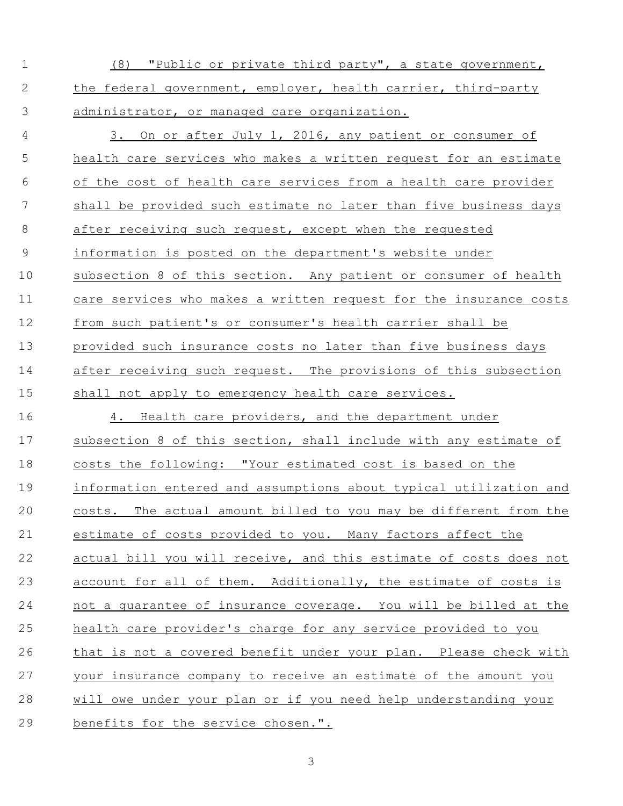(8) "Public or private third party", a state government, the federal government, employer, health carrier, third-party administrator, or managed care organization.

 3. On or after July 1, 2016, any patient or consumer of health care services who makes a written request for an estimate of the cost of health care services from a health care provider shall be provided such estimate no later than five business days 8 after receiving such request, except when the requested information is posted on the department's website under subsection 8 of this section. Any patient or consumer of health care services who makes a written request for the insurance costs from such patient's or consumer's health carrier shall be provided such insurance costs no later than five business days after receiving such request. The provisions of this subsection shall not apply to emergency health care services.

 4. Health care providers, and the department under subsection 8 of this section, shall include with any estimate of costs the following: "Your estimated cost is based on the information entered and assumptions about typical utilization and costs. The actual amount billed to you may be different from the estimate of costs provided to you. Many factors affect the actual bill you will receive, and this estimate of costs does not 23 account for all of them. Additionally, the estimate of costs is not a guarantee of insurance coverage. You will be billed at the health care provider's charge for any service provided to you that is not a covered benefit under your plan. Please check with your insurance company to receive an estimate of the amount you will owe under your plan or if you need help understanding your benefits for the service chosen.".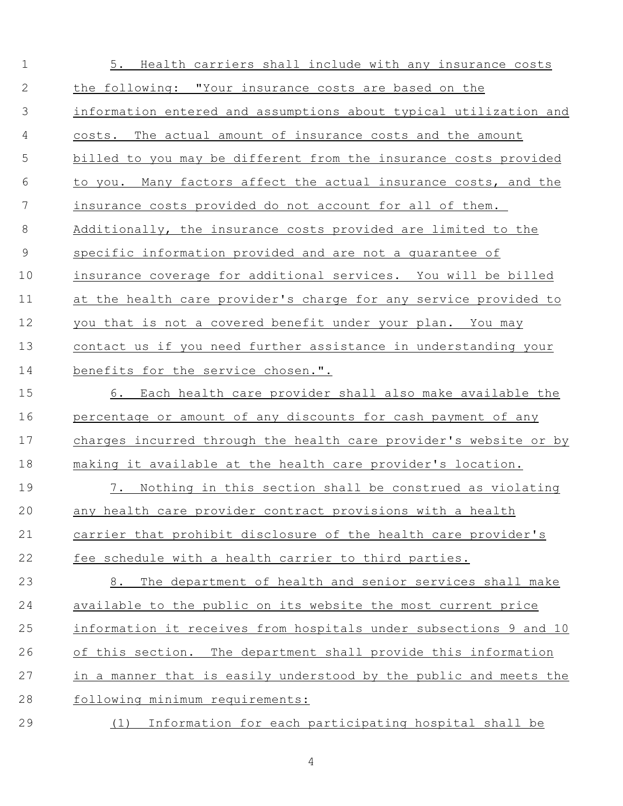| $\mathbf 1$    | 5. Health carriers shall include with any insurance costs         |
|----------------|-------------------------------------------------------------------|
| $\mathbf{2}$   | the following: "Your insurance costs are based on the             |
| 3              | information entered and assumptions about typical utilization and |
| 4              | costs. The actual amount of insurance costs and the amount        |
| 5              | billed to you may be different from the insurance costs provided  |
| 6              | to you. Many factors affect the actual insurance costs, and the   |
| 7              | insurance costs provided do not account for all of them.          |
| 8              | Additionally, the insurance costs provided are limited to the     |
| $\overline{9}$ | specific information provided and are not a quarantee of          |
| 10             | insurance coverage for additional services. You will be billed    |
| 11             | at the health care provider's charge for any service provided to  |
| 12             | you that is not a covered benefit under your plan. You may        |
| 13             | contact us if you need further assistance in understanding your   |
| 14             | benefits for the service chosen.".                                |
| 15             | 6. Each health care provider shall also make available the        |
| 16             | percentage or amount of any discounts for cash payment of any     |
| 17             | charges incurred through the health care provider's website or by |
| 18             | making it available at the health care provider's location.       |
| 19             | 7. Nothing in this section shall be construed as violating        |
| 20             | any health care provider contract provisions with a health        |
| 21             | carrier that prohibit disclosure of the health care provider's    |
| 22             | fee schedule with a health carrier to third parties.              |
| 23             | 8. The department of health and senior services shall make        |
| 24             | available to the public on its website the most current price     |
| 25             | information it receives from hospitals under subsections 9 and 10 |
| 26             | of this section. The department shall provide this information    |
| 27             | in a manner that is easily understood by the public and meets the |
| 28             | following minimum requirements:                                   |
| 29             | (1) Information for each participating hospital shall be          |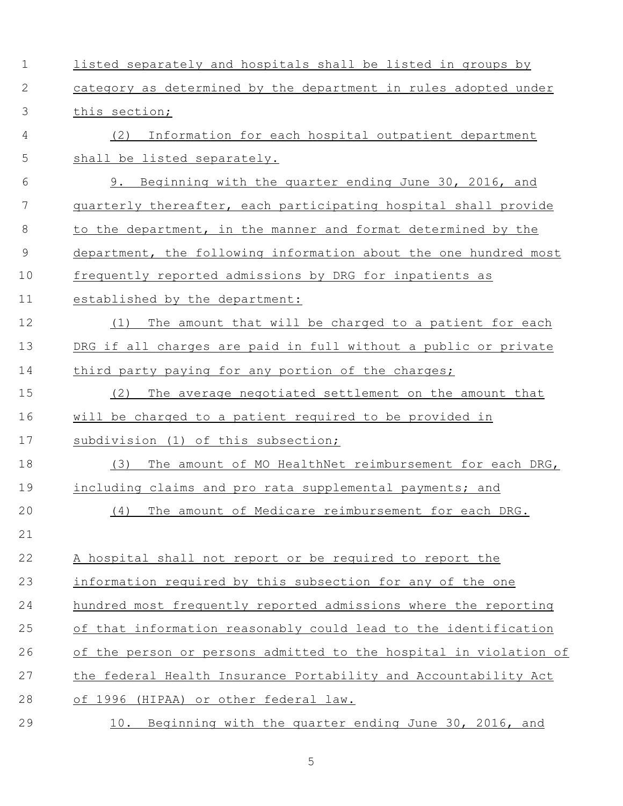| $\mathbf 1$   | listed separately and hospitals shall be listed in groups by      |
|---------------|-------------------------------------------------------------------|
| 2             | category as determined by the department in rules adopted under   |
| 3             | this section;                                                     |
| 4             | Information for each hospital outpatient department<br>(2)        |
| 5             | shall be listed separately.                                       |
| 6             | 9. Beginning with the quarter ending June 30, 2016, and           |
| 7             | quarterly thereafter, each participating hospital shall provide   |
| 8             | to the department, in the manner and format determined by the     |
| $\mathcal{G}$ | department, the following information about the one hundred most  |
| 10            | frequently reported admissions by DRG for inpatients as           |
| 11            | established by the department:                                    |
| 12            | The amount that will be charged to a patient for each<br>(1)      |
| 13            | DRG if all charges are paid in full without a public or private   |
| 14            | third party paying for any portion of the charges;                |
| 15            | The average negotiated settlement on the amount that<br>(2)       |
| 16            | will be charged to a patient required to be provided in           |
| 17            | subdivision (1) of this subsection;                               |
| 18            | (3)<br>The amount of MO HealthNet reimbursement for each DRG,     |
| 19            | including claims and pro rata supplemental payments; and          |
| 20            | The amount of Medicare reimbursement for each DRG.<br>(4)         |
| 21            |                                                                   |
| 22            | A hospital shall not report or be required to report the          |
| 23            | information required by this subsection for any of the one        |
| 24            | hundred most frequently reported admissions where the reporting   |
| 25            | of that information reasonably could lead to the identification   |
| 26            | of the person or persons admitted to the hospital in violation of |
| 27            | the federal Health Insurance Portability and Accountability Act   |
| 28            | of 1996 (HIPAA) or other federal law.                             |
| 29            | Beginning with the quarter ending June 30, 2016, and<br>10.       |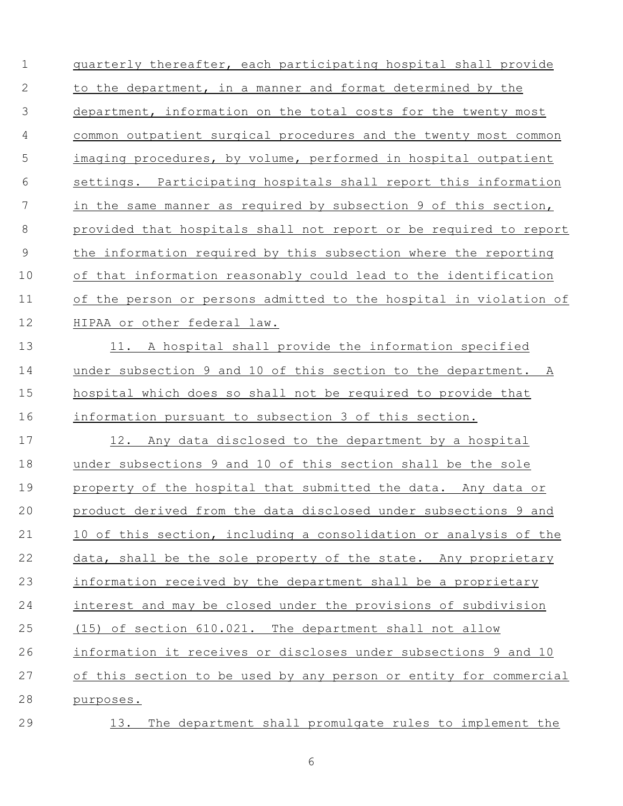quarterly thereafter, each participating hospital shall provide 2 to the department, in a manner and format determined by the department, information on the total costs for the twenty most common outpatient surgical procedures and the twenty most common imaging procedures, by volume, performed in hospital outpatient settings. Participating hospitals shall report this information in the same manner as required by subsection 9 of this section, provided that hospitals shall not report or be required to report the information required by this subsection where the reporting of that information reasonably could lead to the identification of the person or persons admitted to the hospital in violation of HIPAA or other federal law. 13 11. A hospital shall provide the information specified under subsection 9 and 10 of this section to the department. A hospital which does so shall not be required to provide that information pursuant to subsection 3 of this section. 12. Any data disclosed to the department by a hospital under subsections 9 and 10 of this section shall be the sole property of the hospital that submitted the data. Any data or product derived from the data disclosed under subsections 9 and 10 of this section, including a consolidation or analysis of the data, shall be the sole property of the state. Any proprietary information received by the department shall be a proprietary interest and may be closed under the provisions of subdivision (15) of section 610.021. The department shall not allow information it receives or discloses under subsections 9 and 10 of this section to be used by any person or entity for commercial purposes.

13. The department shall promulgate rules to implement the